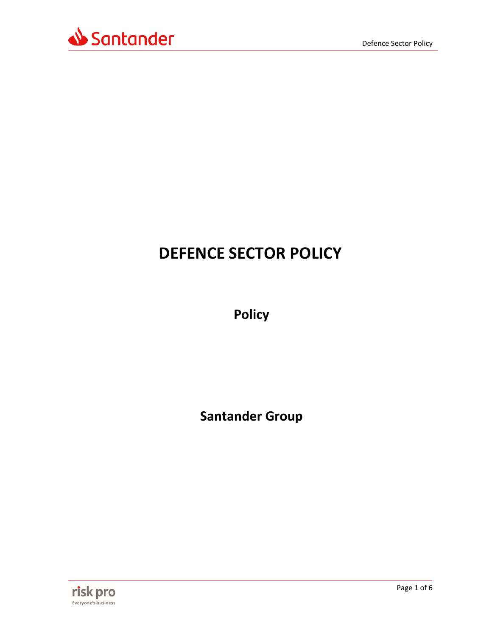



# **DEFENCE SECTOR POLICY**

**Policy** 

**Santander Group** 

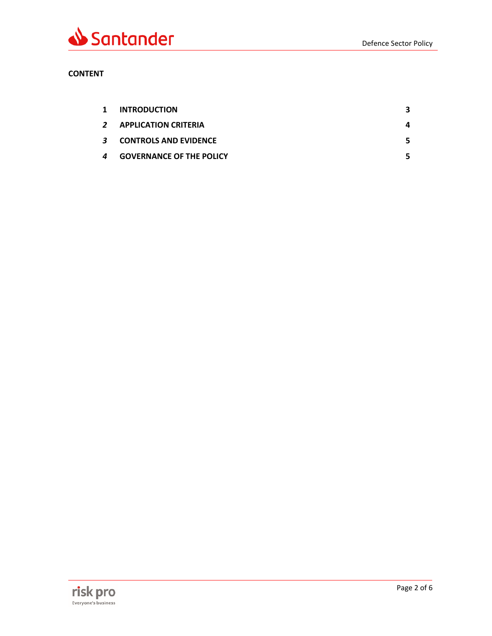

# **CONTENT**

| $\mathbf{1}$ | <b>INTRODUCTION</b>             | 3 |
|--------------|---------------------------------|---|
|              | 2 APPLICATION CRITERIA          | 4 |
|              | 3 CONTROLS AND EVIDENCE         | 5 |
| 4            | <b>GOVERNANCE OF THE POLICY</b> | 5 |

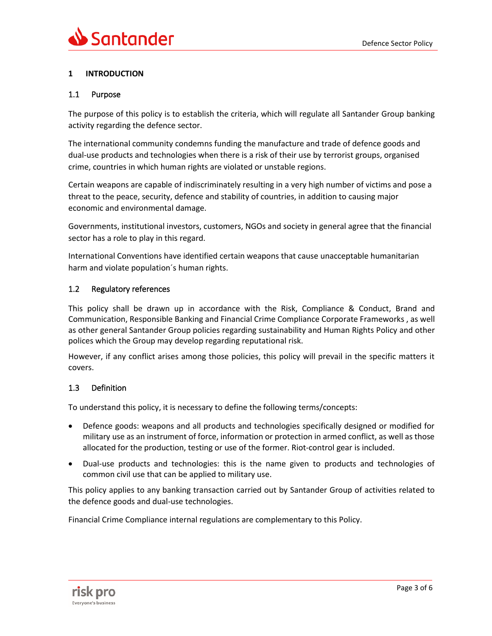# <span id="page-2-0"></span>**1 INTRODUCTION**

#### 1.1 Purpose

The purpose of this policy is to establish the criteria, which will regulate all Santander Group banking activity regarding the defence sector.

The international community condemns funding the manufacture and trade of defence goods and dual-use products and technologies when there is a risk of their use by terrorist groups, organised crime, countries in which human rights are violated or unstable regions.

Certain weapons are capable of indiscriminately resulting in a very high number of victims and pose a threat to the peace, security, defence and stability of countries, in addition to causing major economic and environmental damage.

Governments, institutional investors, customers, NGOs and society in general agree that the financial sector has a role to play in this regard.

International Conventions have identified certain weapons that cause unacceptable humanitarian harm and violate population´s human rights.

#### 1.2 Regulatory references

This policy shall be drawn up in accordance with the Risk, Compliance & Conduct, Brand and Communication, Responsible Banking and Financial Crime Compliance Corporate Frameworks , as well as other general Santander Group policies regarding sustainability and Human Rights Policy and other polices which the Group may develop regarding reputational risk.

However, if any conflict arises among those policies, this policy will prevail in the specific matters it covers.

#### 1.3 Definition

To understand this policy, it is necessary to define the following terms/concepts:

- Defence goods: weapons and all products and technologies specifically designed or modified for military use as an instrument of force, information or protection in armed conflict, as well as those allocated for the production, testing or use of the former. Riot-control gear is included.
- Dual-use products and technologies: this is the name given to products and technologies of common civil use that can be applied to military use.

This policy applies to any banking transaction carried out by Santander Group of activities related to the defence goods and dual-use technologies.

Financial Crime Compliance internal regulations are complementary to this Policy.

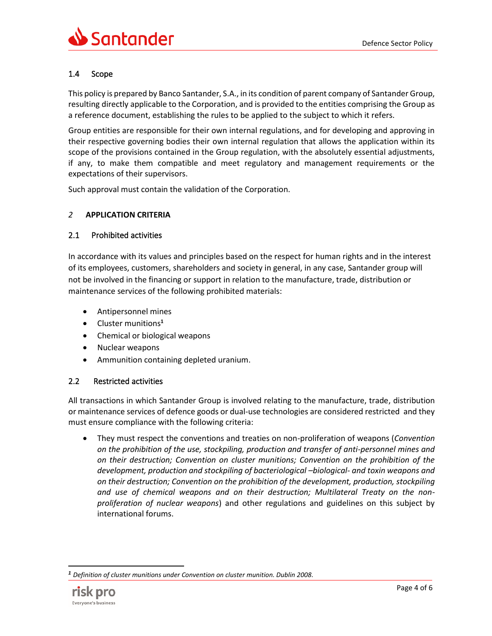# 1.4 Scope

This policy is prepared by Banco Santander, S.A., in its condition of parent company of Santander Group, resulting directly applicable to the Corporation, and is provided to the entities comprising the Group as a reference document, establishing the rules to be applied to the subject to which it refers.

Group entities are responsible for their own internal regulations, and for developing and approving in their respective governing bodies their own internal regulation that allows the application within its scope of the provisions contained in the Group regulation, with the absolutely essential adjustments, if any, to make them compatible and meet regulatory and management requirements or the expectations of their supervisors.

Such approval must contain the validation of the Corporation.

## <span id="page-3-0"></span>*2* **APPLICATION CRITERIA**

## 2.1 Prohibited activities

In accordance with its values and principles based on the respect for human rights and in the interest of its employees, customers, shareholders and society in general, in any case, Santander group will not be involved in the financing or support in relation to the manufacture, trade, distribution or maintenance services of the following prohibited materials:

- Antipersonnel mines
- Cluster munitions**<sup>1</sup>**
- Chemical or biological weapons
- Nuclear weapons
- Ammunition containing depleted uranium.

#### 2.2 Restricted activities

All transactions in which Santander Group is involved relating to the manufacture, trade, distribution or maintenance services of defence goods or dual-use technologies are considered restricted and they must ensure compliance with the following criteria:

• They must respect the conventions and treaties on non-proliferation of weapons (*Convention on the prohibition of the use, stockpiling, production and transfer of anti-personnel mines and on their destruction; Convention on cluster munitions; Convention on the prohibition of the development, production and stockpiling of bacteriological –biological- and toxin weapons and on their destruction; Convention on the prohibition of the development, production, stockpiling and use of chemical weapons and on their destruction; Multilateral Treaty on the nonproliferation of nuclear weapons*) and other regulations and guidelines on this subject by international forums.

*<sup>1</sup> Definition of cluster munitions under Convention on cluster munition. Dublin 2008.*

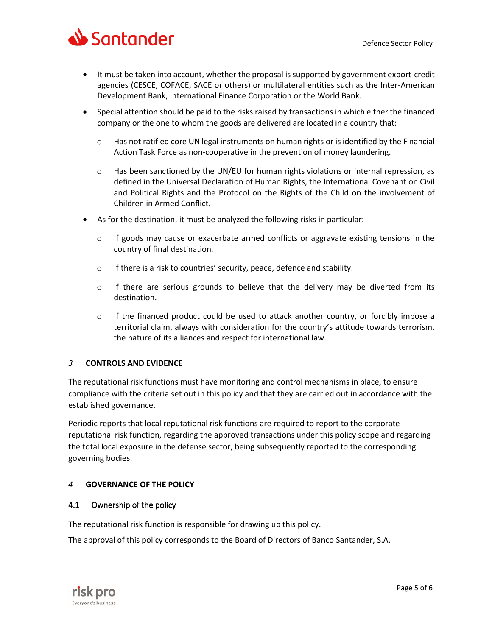

- It must be taken into account, whether the proposal is supported by government export-credit agencies (CESCE, COFACE, SACE or others) or multilateral entities such as the Inter-American Development Bank, International Finance Corporation or the World Bank.
- Special attention should be paid to the risks raised by transactions in which either the financed company or the one to whom the goods are delivered are located in a country that:
	- o Has not ratified core UN legal instruments on human rights or is identified by the Financial Action Task Force as non-cooperative in the prevention of money laundering.
	- $\circ$  Has been sanctioned by the UN/EU for human rights violations or internal repression, as defined in the Universal Declaration of Human Rights, the International Covenant on Civil and Political Rights and the Protocol on the Rights of the Child on the involvement of Children in Armed Conflict.
- As for the destination, it must be analyzed the following risks in particular:
	- o If goods may cause or exacerbate armed conflicts or aggravate existing tensions in the country of final destination.
	- o If there is a risk to countries' security, peace, defence and stability.
	- o If there are serious grounds to believe that the delivery may be diverted from its destination.
	- o If the financed product could be used to attack another country, or forcibly impose a territorial claim, always with consideration for the country's attitude towards terrorism, the nature of its alliances and respect for international law.

#### <span id="page-4-0"></span>*3* **CONTROLS AND EVIDENCE**

The reputational risk functions must have monitoring and control mechanisms in place, to ensure compliance with the criteria set out in this policy and that they are carried out in accordance with the established governance.

Periodic reports that local reputational risk functions are required to report to the corporate reputational risk function, regarding the approved transactions under this policy scope and regarding the total local exposure in the defense sector, being subsequently reported to the corresponding governing bodies.

# <span id="page-4-1"></span>*4* **GOVERNANCE OF THE POLICY**

#### 4.1 Ownership of the policy

The reputational risk function is responsible for drawing up this policy.

The approval of this policy corresponds to the Board of Directors of Banco Santander, S.A.